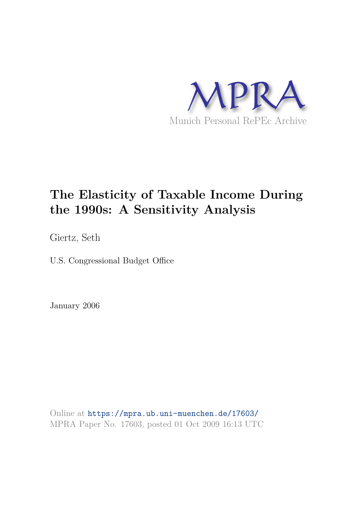

# **The Elasticity of Taxable Income During the 1990s: A Sensitivity Analysis**

Giertz, Seth

U.S. Congressional Budget Office

January 2006

Online at https://mpra.ub.uni-muenchen.de/17603/ MPRA Paper No. 17603, posted 01 Oct 2009 16:13 UTC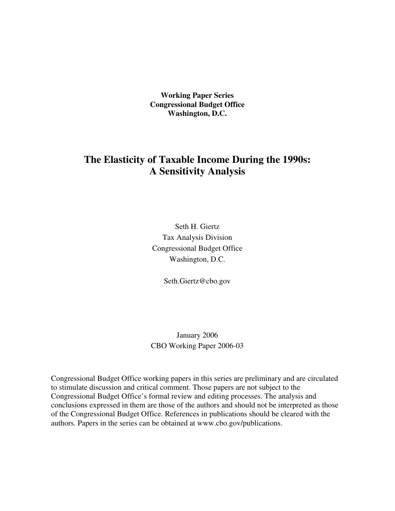**Working Paper Series Congressional Budget Office Washington, D.C.**

# **The Elasticity of Taxable Income During the 1990s: A Sensitivity Analysis**

Seth H. Giertz Tax Analysis Division Congressional Budget Office Washington, D.C.

Seth.Giertz@cbo.gov

January 2006 CBO Working Paper 2006-03

Congressional Budget Office working papers in this series are preliminary and are circulated to stimulate discussion and critical comment. Those papers are not subject to the Congressional Budget Office's formal review and editing processes. The analysis and conclusions expressed in them are those of the authors and should not be interpreted as those of the Congressional Budget Office. References in publications should be cleared with the authors. Papers in the series can be obtained at www.cbo.gov/publications.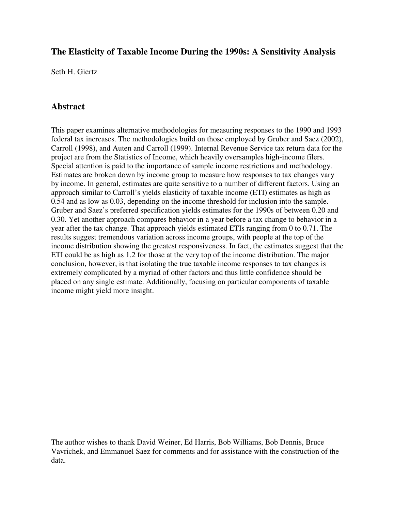## **The Elasticity of Taxable Income During the 1990s: A Sensitivity Analysis**

Seth H. Giertz

## **Abstract**

This paper examines alternative methodologies for measuring responses to the 1990 and 1993 federal tax increases. The methodologies build on those employed by Gruber and Saez (2002), Carroll (1998), and Auten and Carroll (1999). Internal Revenue Service tax return data for the project are from the Statistics of Income, which heavily oversamples high-income filers. Special attention is paid to the importance of sample income restrictions and methodology. Estimates are broken down by income group to measure how responses to tax changes vary by income. In general, estimates are quite sensitive to a number of different factors. Using an approach similar to Carroll's yields elasticity of taxable income (ETI) estimates as high as 0.54 and as low as 0.03, depending on the income threshold for inclusion into the sample. Gruber and Saez's preferred specification yields estimates for the 1990s of between 0.20 and 0.30. Yet another approach compares behavior in a year before a tax change to behavior in a year after the tax change. That approach yields estimated ETIs ranging from 0 to 0.71. The results suggest tremendous variation across income groups, with people at the top of the income distribution showing the greatest responsiveness. In fact, the estimates suggest that the ETI could be as high as 1.2 for those at the very top of the income distribution. The major conclusion, however, is that isolating the true taxable income responses to tax changes is extremely complicated by a myriad of other factors and thus little confidence should be placed on any single estimate. Additionally, focusing on particular components of taxable income might yield more insight.

The author wishes to thank David Weiner, Ed Harris, Bob Williams, Bob Dennis, Bruce Vavrichek, and Emmanuel Saez for comments and for assistance with the construction of the data.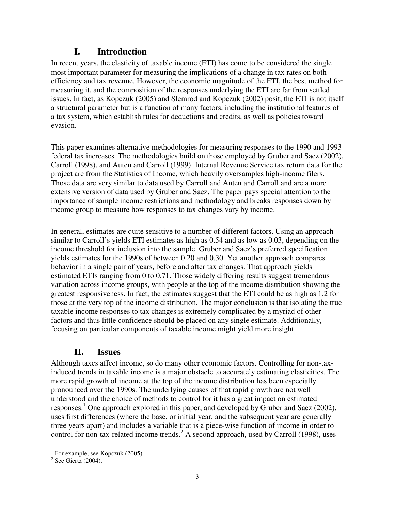# **I. Introduction**

In recent years, the elasticity of taxable income (ETI) has come to be considered the single most important parameter for measuring the implications of a change in tax rates on both efficiency and tax revenue. However, the economic magnitude of the ETI, the best method for measuring it, and the composition of the responses underlying the ETI are far from settled issues. In fact, as Kopczuk (2005) and Slemrod and Kopczuk (2002) posit, the ETI is not itself a structural parameter but is a function of many factors, including the institutional features of a tax system, which establish rules for deductions and credits, as well as policies toward evasion.

This paper examines alternative methodologies for measuring responses to the 1990 and 1993 federal tax increases. The methodologies build on those employed by Gruber and Saez (2002), Carroll (1998), and Auten and Carroll (1999). Internal Revenue Service tax return data for the project are from the Statistics of Income, which heavily oversamples high-income filers. Those data are very similar to data used by Carroll and Auten and Carroll and are a more extensive version of data used by Gruber and Saez. The paper pays special attention to the importance of sample income restrictions and methodology and breaks responses down by income group to measure how responses to tax changes vary by income.

In general, estimates are quite sensitive to a number of different factors. Using an approach similar to Carroll's yields ETI estimates as high as 0.54 and as low as 0.03, depending on the income threshold for inclusion into the sample. Gruber and Saez's preferred specification yields estimates for the 1990s of between 0.20 and 0.30. Yet another approach compares behavior in a single pair of years, before and after tax changes. That approach yields estimated ETIs ranging from 0 to 0.71. Those widely differing results suggest tremendous variation across income groups, with people at the top of the income distribution showing the greatest responsiveness. In fact, the estimates suggest that the ETI could be as high as 1.2 for those at the very top of the income distribution. The major conclusion is that isolating the true taxable income responses to tax changes is extremely complicated by a myriad of other factors and thus little confidence should be placed on any single estimate. Additionally, focusing on particular components of taxable income might yield more insight.

# **II. Issues**

Although taxes affect income, so do many other economic factors. Controlling for non-taxinduced trends in taxable income is a major obstacle to accurately estimating elasticities. The more rapid growth of income at the top of the income distribution has been especially pronounced over the 1990s. The underlying causes of that rapid growth are not well understood and the choice of methods to control for it has a great impact on estimated responses.<sup>1</sup> One approach explored in this paper, and developed by Gruber and Saez (2002), uses first differences (where the base, or initial year, and the subsequent year are generally three years apart) and includes a variable that is a piece-wise function of income in order to control for non-tax-related income trends.<sup>2</sup> A second approach, used by Carroll (1998), uses

 $<sup>1</sup>$  For example, see Kopczuk (2005).</sup>

<sup>&</sup>lt;sup>2</sup> See Giertz (2004).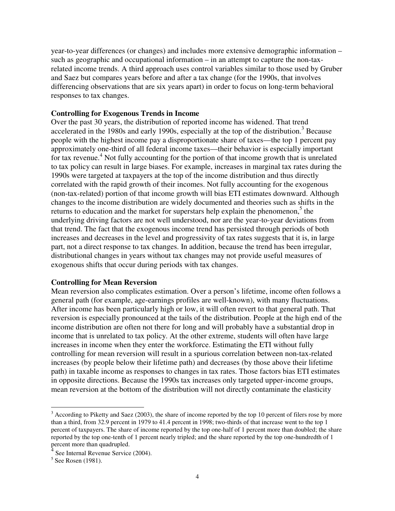year-to-year differences (or changes) and includes more extensive demographic information – such as geographic and occupational information – in an attempt to capture the non-taxrelated income trends. A third approach uses control variables similar to those used by Gruber and Saez but compares years before and after a tax change (for the 1990s, that involves differencing observations that are six years apart) in order to focus on long-term behavioral responses to tax changes.

#### **Controlling for Exogenous Trends in Income**

Over the past 30 years, the distribution of reported income has widened. That trend accelerated in the 1980s and early 1990s, especially at the top of the distribution.<sup>3</sup> Because people with the highest income pay a disproportionate share of taxes—the top 1 percent pay approximately one-third of all federal income taxes—their behavior is especially important for tax revenue.<sup>4</sup> Not fully accounting for the portion of that income growth that is unrelated to tax policy can result in large biases. For example, increases in marginal tax rates during the 1990s were targeted at taxpayers at the top of the income distribution and thus directly correlated with the rapid growth of their incomes. Not fully accounting for the exogenous (non-tax-related) portion of that income growth will bias ETI estimates downward. Although changes to the income distribution are widely documented and theories such as shifts in the returns to education and the market for superstars help explain the phenomenon, $5$  the underlying driving factors are not well understood, nor are the year-to-year deviations from that trend. The fact that the exogenous income trend has persisted through periods of both increases and decreases in the level and progressivity of tax rates suggests that it is, in large part, not a direct response to tax changes. In addition, because the trend has been irregular, distributional changes in years without tax changes may not provide useful measures of exogenous shifts that occur during periods with tax changes.

#### **Controlling for Mean Reversion**

Mean reversion also complicates estimation. Over a person's lifetime, income often follows a general path (for example, age-earnings profiles are well-known), with many fluctuations. After income has been particularly high or low, it will often revert to that general path. That reversion is especially pronounced at the tails of the distribution. People at the high end of the income distribution are often not there for long and will probably have a substantial drop in income that is unrelated to tax policy. At the other extreme, students will often have large increases in income when they enter the workforce. Estimating the ETI without fully controlling for mean reversion will result in a spurious correlation between non-tax-related increases (by people below their lifetime path) and decreases (by those above their lifetime path) in taxable income as responses to changes in tax rates. Those factors bias ETI estimates in opposite directions. Because the 1990s tax increases only targeted upper-income groups, mean reversion at the bottom of the distribution will not directly contaminate the elasticity

 $3$  According to Piketty and Saez (2003), the share of income reported by the top 10 percent of filers rose by more than a third, from 32.9 percent in 1979 to 41.4 percent in 1998; two-thirds of that increase went to the top 1 percent of taxpayers. The share of income reported by the top one-half of 1 percent more than doubled; the share reported by the top one-tenth of 1 percent nearly tripled; and the share reported by the top one-hundredth of 1 percent more than quadrupled.

<sup>4</sup> See Internal Revenue Service (2004).

<sup>&</sup>lt;sup>5</sup> See Rosen (1981).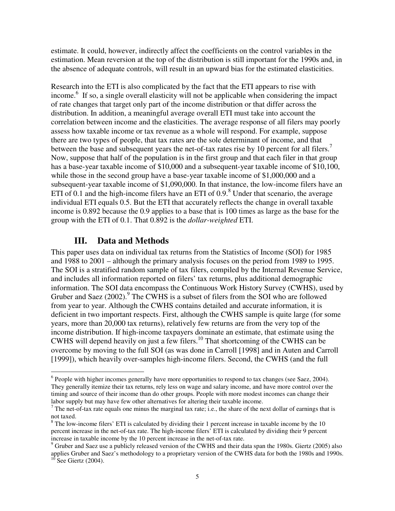estimate. It could, however, indirectly affect the coefficients on the control variables in the estimation. Mean reversion at the top of the distribution is still important for the 1990s and, in the absence of adequate controls, will result in an upward bias for the estimated elasticities.

Research into the ETI is also complicated by the fact that the ETI appears to rise with income.<sup>6</sup> If so, a single overall elasticity will not be applicable when considering the impact of rate changes that target only part of the income distribution or that differ across the distribution. In addition, a meaningful average overall ETI must take into account the correlation between income and the elasticities. The average response of all filers may poorly assess how taxable income or tax revenue as a whole will respond. For example, suppose there are two types of people, that tax rates are the sole determinant of income, and that between the base and subsequent years the net-of-tax rates rise by 10 percent for all filers.<sup>7</sup> Now, suppose that half of the population is in the first group and that each filer in that group has a base-year taxable income of \$10,000 and a subsequent-year taxable income of \$10,100, while those in the second group have a base-year taxable income of \$1,000,000 and a subsequent-year taxable income of \$1,090,000. In that instance, the low-income filers have an ETI of 0.1 and the high-income filers have an ETI of  $0.9<sup>8</sup>$  Under that scenario, the average individual ETI equals 0.5. But the ETI that accurately reflects the change in overall taxable income is 0.892 because the 0.9 applies to a base that is 100 times as large as the base for the group with the ETI of 0.1. That 0.892 is the *dollar-weighted* ETI.

#### **III. Data and Methods**

This paper uses data on individual tax returns from the Statistics of Income (SOI) for 1985 and 1988 to 2001 – although the primary analysis focuses on the period from 1989 to 1995. The SOI is a stratified random sample of tax filers, compiled by the Internal Revenue Service, and includes all information reported on filers' tax returns, plus additional demographic information. The SOI data encompass the Continuous Work History Survey (CWHS), used by Gruber and Saez  $(2002)$ .<sup>9</sup> The CWHS is a subset of filers from the SOI who are followed from year to year. Although the CWHS contains detailed and accurate information, it is deficient in two important respects. First, although the CWHS sample is quite large (for some years, more than 20,000 tax returns), relatively few returns are from the very top of the income distribution. If high-income taxpayers dominate an estimate, that estimate using the CWHS will depend heavily on just a few filers.<sup>10</sup> That shortcoming of the CWHS can be overcome by moving to the full SOI (as was done in Carroll [1998] and in Auten and Carroll [1999]), which heavily over-samples high-income filers. Second, the CWHS (and the full

 $6$  People with higher incomes generally have more opportunities to respond to tax changes (see Saez, 2004). They generally itemize their tax returns, rely less on wage and salary income, and have more control over the timing and source of their income than do other groups. People with more modest incomes can change their labor supply but may have few other alternatives for altering their taxable income.

 $<sup>7</sup>$  The net-of-tax rate equals one minus the marginal tax rate; i.e., the share of the next dollar of earnings that is</sup> not taxed.

<sup>&</sup>lt;sup>8</sup> The low-income filers' ETI is calculated by dividing their 1 percent increase in taxable income by the 10 percent increase in the net-of-tax rate. The high-income filers' ETI is calculated by dividing their 9 percent increase in taxable income by the 10 percent increase in the net-of-tax rate.

 $9$  Gruber and Saez use a publicly released version of the CWHS and their data span the 1980s. Giertz (2005) also applies Gruber and Saez's methodology to a proprietary version of the CWHS data for both the 1980s and 1990s.

 $10$  See Giertz (2004).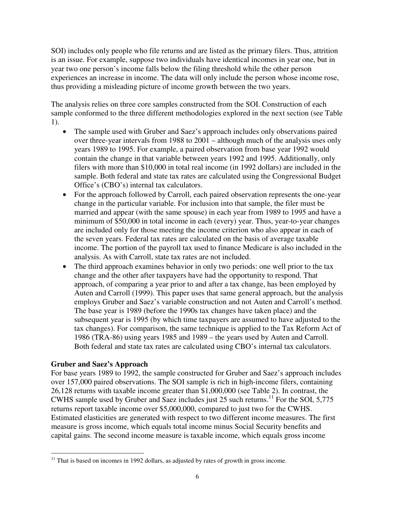SOI) includes only people who file returns and are listed as the primary filers. Thus, attrition is an issue. For example, suppose two individuals have identical incomes in year one, but in year two one person's income falls below the filing threshold while the other person experiences an increase in income. The data will only include the person whose income rose, thus providing a misleading picture of income growth between the two years.

The analysis relies on three core samples constructed from the SOI. Construction of each sample conformed to the three different methodologies explored in the next section (see Table 1).

- The sample used with Gruber and Saez's approach includes only observations paired over three-year intervals from 1988 to 2001 – although much of the analysis uses only years 1989 to 1995. For example, a paired observation from base year 1992 would contain the change in that variable between years 1992 and 1995. Additionally, only filers with more than \$10,000 in total real income (in 1992 dollars) are included in the sample. Both federal and state tax rates are calculated using the Congressional Budget Office's (CBO's) internal tax calculators.
- For the approach followed by Carroll, each paired observation represents the one-year change in the particular variable. For inclusion into that sample, the filer must be married and appear (with the same spouse) in each year from 1989 to 1995 and have a minimum of \$50,000 in total income in each (every) year. Thus, year-to-year changes are included only for those meeting the income criterion who also appear in each of the seven years. Federal tax rates are calculated on the basis of average taxable income. The portion of the payroll tax used to finance Medicare is also included in the analysis. As with Carroll, state tax rates are not included.
- The third approach examines behavior in only two periods: one well prior to the tax change and the other after taxpayers have had the opportunity to respond. That approach, of comparing a year prior to and after a tax change, has been employed by Auten and Carroll (1999). This paper uses that same general approach, but the analysis employs Gruber and Saez's variable construction and not Auten and Carroll's method. The base year is 1989 (before the 1990s tax changes have taken place) and the subsequent year is 1995 (by which time taxpayers are assumed to have adjusted to the tax changes). For comparison, the same technique is applied to the Tax Reform Act of 1986 (TRA-86) using years 1985 and 1989 – the years used by Auten and Carroll. Both federal and state tax rates are calculated using CBO's internal tax calculators.

#### **Gruber and Saez's Approach**

For base years 1989 to 1992, the sample constructed for Gruber and Saez's approach includes over 157,000 paired observations. The SOI sample is rich in high-income filers, containing 26,128 returns with taxable income greater than \$1,000,000 (see Table 2). In contrast, the CWHS sample used by Gruber and Saez includes just 25 such returns.<sup>11</sup> For the SOI, 5,775 returns report taxable income over \$5,000,000, compared to just two for the CWHS. Estimated elasticities are generated with respect to two different income measures. The first measure is gross income, which equals total income minus Social Security benefits and capital gains. The second income measure is taxable income, which equals gross income

 $11$  That is based on incomes in 1992 dollars, as adjusted by rates of growth in gross income.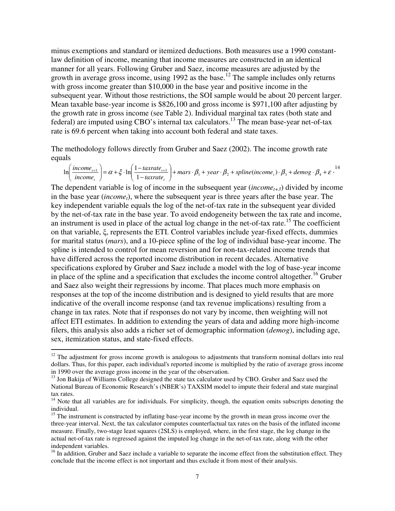minus exemptions and standard or itemized deductions. Both measures use a 1990 constantlaw definition of income, meaning that income measures are constructed in an identical manner for all years. Following Gruber and Saez, income measures are adjusted by the growth in average gross income, using  $1992$  as the base.<sup>12</sup> The sample includes only returns with gross income greater than \$10,000 in the base year and positive income in the subsequent year. Without those restrictions, the SOI sample would be about 20 percent larger. Mean taxable base-year income is \$826,100 and gross income is \$971,100 after adjusting by the growth rate in gross income (see Table 2). Individual marginal tax rates (both state and federal) are imputed using CBO's internal tax calculators.<sup>13</sup> The mean base-year net-of-tax rate is 69.6 percent when taking into account both federal and state taxes.

The methodology follows directly from Gruber and Saez (2002). The income growth rate equals

$$
\ln\left(\frac{income_{t+3}}{income_{t}}\right) = \alpha + \xi \cdot \ln\left(\frac{1 - taxrate_{t+3}}{1 - taxrate_{t}}\right) + mars \cdot \beta_1 + year \cdot \beta_2 + spline(income_t) \cdot \beta_3 + demog \cdot \beta_4 + \varepsilon \cdot \frac{14}{1 - taxrate_{t}} + \varepsilon
$$

The dependent variable is log of income in the subsequent year (*incomet+3*) divided by income in the base year (*incomet*), where the subsequent year is three years after the base year. The key independent variable equals the log of the net-of-tax rate in the subsequent year divided by the net-of-tax rate in the base year. To avoid endogeneity between the tax rate and income, an instrument is used in place of the actual log change in the net-of-tax rate.<sup>15</sup> The coefficient on that variable, ξ, represents the ETI. Control variables include year-fixed effects, dummies for marital status (*mars*), and a 10-piece spline of the log of individual base-year income. The spline is intended to control for mean reversion and for non-tax-related income trends that have differed across the reported income distribution in recent decades. Alternative specifications explored by Gruber and Saez include a model with the log of base-year income in place of the spline and a specification that excludes the income control altogether.<sup>16</sup> Gruber and Saez also weight their regressions by income. That places much more emphasis on responses at the top of the income distribution and is designed to yield results that are more indicative of the overall income response (and tax revenue implications) resulting from a change in tax rates. Note that if responses do not vary by income, then weighting will not affect ETI estimates. In addition to extending the years of data and adding more high-income filers, this analysis also adds a richer set of demographic information (*demog*), including age, sex, itemization status, and state-fixed effects.

 $12$  The adjustment for gross income growth is analogous to adjustments that transform nominal dollars into real dollars. Thus, for this paper, each individual's reported income is multiplied by the ratio of average gross income in 1990 over the average gross income in the year of the observation.

<sup>&</sup>lt;sup>13</sup> Jon Bakija of Williams College designed the state tax calculator used by CBO. Gruber and Saez used the National Bureau of Economic Research's (NBER's) TAXSIM model to impute their federal and state marginal tax rates.

<sup>&</sup>lt;sup>14</sup> Note that all variables are for individuals. For simplicity, though, the equation omits subscripts denoting the individual.

<sup>&</sup>lt;sup>15</sup> The instrument is constructed by inflating base-year income by the growth in mean gross income over the three-year interval. Next, the tax calculator computes counterfactual tax rates on the basis of the inflated income measure. Finally, two-stage least squares (2SLS) is employed, where, in the first stage, the log change in the actual net-of-tax rate is regressed against the imputed log change in the net-of-tax rate, along with the other independent variables.

<sup>&</sup>lt;sup>16</sup> In addition, Gruber and Saez include a variable to separate the income effect from the substitution effect. They conclude that the income effect is not important and thus exclude it from most of their analysis.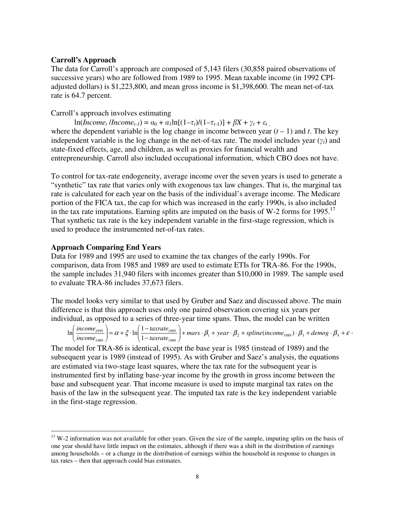#### **Carroll's Approach**

The data for Carroll's approach are composed of 5,143 filers (30,858 paired observations of successive years) who are followed from 1989 to 1995. Mean taxable income (in 1992 CPIadjusted dollars) is \$1,223,800, and mean gross income is \$1,398,600. The mean net-of-tax rate is 64.7 percent.

#### Carroll's approach involves estimating

 $\ln(Income_t/Income_{t-1}) = a_0 + a_1 \ln[(1-\tau_t)/(1-\tau_{t-1})] + \beta X + \gamma_t + \varepsilon_t$ where the dependent variable is the log change in income between year  $(t - 1)$  and *t*. The key independent variable is the log change in the net-of-tax rate. The model includes year  $(\gamma_t)$  and state-fixed effects, age, and children, as well as proxies for financial wealth and

entrepreneurship. Carroll also included occupational information, which CBO does not have.

To control for tax-rate endogeneity, average income over the seven years is used to generate a "synthetic" tax rate that varies only with exogenous tax law changes. That is, the marginal tax rate is calculated for each year on the basis of the individual's average income. The Medicare portion of the FICA tax, the cap for which was increased in the early 1990s, is also included in the tax rate imputations. Earning splits are imputed on the basis of W-2 forms for 1995.<sup>17</sup> That synthetic tax rate is the key independent variable in the first-stage regression, which is used to produce the instrumented net-of-tax rates.

#### **Approach Comparing End Years**

Data for 1989 and 1995 are used to examine the tax changes of the early 1990s. For comparison, data from 1985 and 1989 are used to estimate ETIs for TRA-86. For the 1990s, the sample includes 31,940 filers with incomes greater than \$10,000 in 1989. The sample used to evaluate TRA-86 includes 37,673 filers.

The model looks very similar to that used by Gruber and Saez and discussed above. The main difference is that this approach uses only one paired observation covering six years per individual, as opposed to a series of three-year time spans. Thus, the model can be written

$$
\ln\left(\frac{income_{1995}}{income_{1989}}\right) = \alpha + \xi \cdot \ln\left(\frac{1 - taxrate_{1995}}{1 - taxrate_{1989}}\right) + mars \cdot \beta_1 + year \cdot \beta_2 + spline(income_{1989}) \cdot \beta_3 + demog \cdot \beta_4 + \varepsilon \cdot \beta_4 + \varepsilon
$$

The model for TRA-86 is identical, except the base year is 1985 (instead of 1989) and the subsequent year is 1989 (instead of 1995). As with Gruber and Saez's analysis, the equations are estimated via two-stage least squares, where the tax rate for the subsequent year is instrumented first by inflating base-year income by the growth in gross income between the base and subsequent year. That income measure is used to impute marginal tax rates on the basis of the law in the subsequent year. The imputed tax rate is the key independent variable in the first-stage regression.

 $17$  W-2 information was not available for other years. Given the size of the sample, imputing splits on the basis of one year should have little impact on the estimates, although if there was a shift in the distribution of earnings among households – or a change in the distribution of earnings within the household in response to changes in tax rates – then that approach could bias estimates.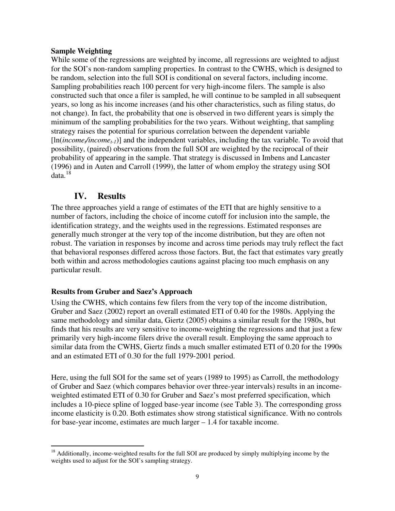#### **Sample Weighting**

While some of the regressions are weighted by income, all regressions are weighted to adjust for the SOI's non-random sampling properties. In contrast to the CWHS, which is designed to be random, selection into the full SOI is conditional on several factors, including income. Sampling probabilities reach 100 percent for very high-income filers. The sample is also constructed such that once a filer is sampled, he will continue to be sampled in all subsequent years, so long as his income increases (and his other characteristics, such as filing status, do not change). In fact, the probability that one is observed in two different years is simply the minimum of the sampling probabilities for the two years. Without weighting, that sampling strategy raises the potential for spurious correlation between the dependent variable [ln(*incomet/incomet-1*)] and the independent variables, including the tax variable. To avoid that possibility, (paired) observations from the full SOI are weighted by the reciprocal of their probability of appearing in the sample. That strategy is discussed in Imbens and Lancaster (1996) and in Auten and Carroll (1999), the latter of whom employ the strategy using SOI data.<sup>18</sup>

### **IV. Results**

The three approaches yield a range of estimates of the ETI that are highly sensitive to a number of factors, including the choice of income cutoff for inclusion into the sample, the identification strategy, and the weights used in the regressions. Estimated responses are generally much stronger at the very top of the income distribution, but they are often not robust. The variation in responses by income and across time periods may truly reflect the fact that behavioral responses differed across those factors. But, the fact that estimates vary greatly both within and across methodologies cautions against placing too much emphasis on any particular result.

#### **Results from Gruber and Saez's Approach**

Using the CWHS, which contains few filers from the very top of the income distribution, Gruber and Saez (2002) report an overall estimated ETI of 0.40 for the 1980s. Applying the same methodology and similar data, Giertz (2005) obtains a similar result for the 1980s, but finds that his results are very sensitive to income-weighting the regressions and that just a few primarily very high-income filers drive the overall result. Employing the same approach to similar data from the CWHS, Giertz finds a much smaller estimated ETI of 0.20 for the 1990s and an estimated ETI of 0.30 for the full 1979-2001 period.

Here, using the full SOI for the same set of years (1989 to 1995) as Carroll, the methodology of Gruber and Saez (which compares behavior over three-year intervals) results in an incomeweighted estimated ETI of 0.30 for Gruber and Saez's most preferred specification, which includes a 10-piece spline of logged base-year income (see Table 3). The corresponding gross income elasticity is 0.20. Both estimates show strong statistical significance. With no controls for base-year income, estimates are much larger – 1.4 for taxable income.

<sup>&</sup>lt;sup>18</sup> Additionally, income-weighted results for the full SOI are produced by simply multiplying income by the weights used to adjust for the SOI's sampling strategy.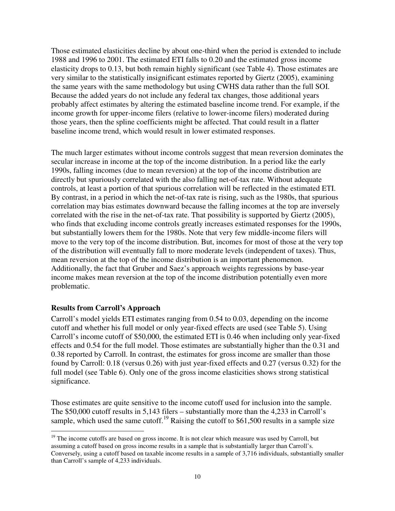Those estimated elasticities decline by about one-third when the period is extended to include 1988 and 1996 to 2001. The estimated ETI falls to 0.20 and the estimated gross income elasticity drops to 0.13, but both remain highly significant (see Table 4). Those estimates are very similar to the statistically insignificant estimates reported by Giertz (2005), examining the same years with the same methodology but using CWHS data rather than the full SOI. Because the added years do not include any federal tax changes, those additional years probably affect estimates by altering the estimated baseline income trend. For example, if the income growth for upper-income filers (relative to lower-income filers) moderated during those years, then the spline coefficients might be affected. That could result in a flatter baseline income trend, which would result in lower estimated responses.

The much larger estimates without income controls suggest that mean reversion dominates the secular increase in income at the top of the income distribution. In a period like the early 1990s, falling incomes (due to mean reversion) at the top of the income distribution are directly but spuriously correlated with the also falling net-of-tax rate. Without adequate controls, at least a portion of that spurious correlation will be reflected in the estimated ETI. By contrast, in a period in which the net-of-tax rate is rising, such as the 1980s, that spurious correlation may bias estimates downward because the falling incomes at the top are inversely correlated with the rise in the net-of-tax rate. That possibility is supported by Giertz (2005), who finds that excluding income controls greatly increases estimated responses for the 1990s, but substantially lowers them for the 1980s. Note that very few middle-income filers will move to the very top of the income distribution. But, incomes for most of those at the very top of the distribution will eventually fall to more moderate levels (independent of taxes). Thus, mean reversion at the top of the income distribution is an important phenomenon. Additionally, the fact that Gruber and Saez's approach weights regressions by base-year income makes mean reversion at the top of the income distribution potentially even more problematic.

#### **Results from Carroll's Approach**

Carroll's model yields ETI estimates ranging from 0.54 to 0.03, depending on the income cutoff and whether his full model or only year-fixed effects are used (see Table 5). Using Carroll's income cutoff of \$50,000, the estimated ETI is 0.46 when including only year-fixed effects and 0.54 for the full model. Those estimates are substantially higher than the 0.31 and 0.38 reported by Carroll. In contrast, the estimates for gross income are smaller than those found by Carroll: 0.18 (versus 0.26) with just year-fixed effects and 0.27 (versus 0.32) for the full model (see Table 6). Only one of the gross income elasticities shows strong statistical significance.

Those estimates are quite sensitive to the income cutoff used for inclusion into the sample. The \$50,000 cutoff results in 5,143 filers – substantially more than the 4,233 in Carroll's sample, which used the same cutoff.<sup>19</sup> Raising the cutoff to \$61,500 results in a sample size

 $19$  The income cutoffs are based on gross income. It is not clear which measure was used by Carroll, but assuming a cutoff based on gross income results in a sample that is substantially larger than Carroll's. Conversely, using a cutoff based on taxable income results in a sample of 3,716 individuals, substantially smaller than Carroll's sample of 4,233 individuals.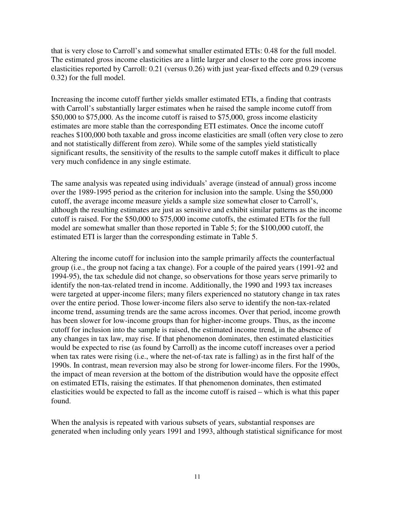that is very close to Carroll's and somewhat smaller estimated ETIs: 0.48 for the full model. The estimated gross income elasticities are a little larger and closer to the core gross income elasticities reported by Carroll: 0.21 (versus 0.26) with just year-fixed effects and 0.29 (versus 0.32) for the full model.

Increasing the income cutoff further yields smaller estimated ETIs, a finding that contrasts with Carroll's substantially larger estimates when he raised the sample income cutoff from \$50,000 to \$75,000. As the income cutoff is raised to \$75,000, gross income elasticity estimates are more stable than the corresponding ETI estimates. Once the income cutoff reaches \$100,000 both taxable and gross income elasticities are small (often very close to zero and not statistically different from zero). While some of the samples yield statistically significant results, the sensitivity of the results to the sample cutoff makes it difficult to place very much confidence in any single estimate.

The same analysis was repeated using individuals' average (instead of annual) gross income over the 1989-1995 period as the criterion for inclusion into the sample. Using the \$50,000 cutoff, the average income measure yields a sample size somewhat closer to Carroll's, although the resulting estimates are just as sensitive and exhibit similar patterns as the income cutoff is raised. For the \$50,000 to \$75,000 income cutoffs, the estimated ETIs for the full model are somewhat smaller than those reported in Table 5; for the \$100,000 cutoff, the estimated ETI is larger than the corresponding estimate in Table 5.

Altering the income cutoff for inclusion into the sample primarily affects the counterfactual group (i.e., the group not facing a tax change). For a couple of the paired years (1991-92 and 1994-95), the tax schedule did not change, so observations for those years serve primarily to identify the non-tax-related trend in income. Additionally, the 1990 and 1993 tax increases were targeted at upper-income filers; many filers experienced no statutory change in tax rates over the entire period. Those lower-income filers also serve to identify the non-tax-related income trend, assuming trends are the same across incomes. Over that period, income growth has been slower for low-income groups than for higher-income groups. Thus, as the income cutoff for inclusion into the sample is raised, the estimated income trend, in the absence of any changes in tax law, may rise. If that phenomenon dominates, then estimated elasticities would be expected to rise (as found by Carroll) as the income cutoff increases over a period when tax rates were rising (i.e., where the net-of-tax rate is falling) as in the first half of the 1990s. In contrast, mean reversion may also be strong for lower-income filers. For the 1990s, the impact of mean reversion at the bottom of the distribution would have the opposite effect on estimated ETIs, raising the estimates. If that phenomenon dominates, then estimated elasticities would be expected to fall as the income cutoff is raised – which is what this paper found.

When the analysis is repeated with various subsets of years, substantial responses are generated when including only years 1991 and 1993, although statistical significance for most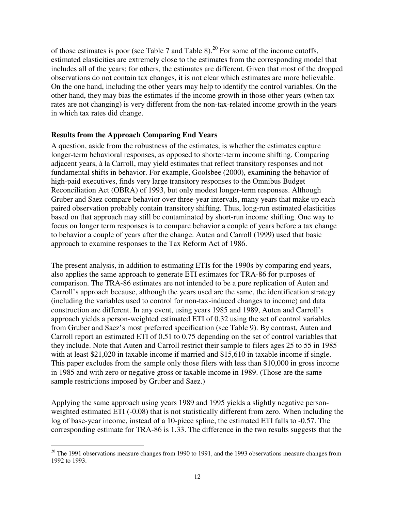of those estimates is poor (see Table 7 and Table 8).<sup>20</sup> For some of the income cutoffs, estimated elasticities are extremely close to the estimates from the corresponding model that includes all of the years; for others, the estimates are different. Given that most of the dropped observations do not contain tax changes, it is not clear which estimates are more believable. On the one hand, including the other years may help to identify the control variables. On the other hand, they may bias the estimates if the income growth in those other years (when tax rates are not changing) is very different from the non-tax-related income growth in the years in which tax rates did change.

#### **Results from the Approach Comparing End Years**

A question, aside from the robustness of the estimates, is whether the estimates capture longer-term behavioral responses, as opposed to shorter-term income shifting. Comparing adjacent years, à la Carroll, may yield estimates that reflect transitory responses and not fundamental shifts in behavior. For example, Goolsbee (2000), examining the behavior of high-paid executives, finds very large transitory responses to the Omnibus Budget Reconciliation Act (OBRA) of 1993, but only modest longer-term responses. Although Gruber and Saez compare behavior over three-year intervals, many years that make up each paired observation probably contain transitory shifting. Thus, long-run estimated elasticities based on that approach may still be contaminated by short-run income shifting. One way to focus on longer term responses is to compare behavior a couple of years before a tax change to behavior a couple of years after the change. Auten and Carroll (1999) used that basic approach to examine responses to the Tax Reform Act of 1986.

The present analysis, in addition to estimating ETIs for the 1990s by comparing end years, also applies the same approach to generate ETI estimates for TRA-86 for purposes of comparison. The TRA-86 estimates are not intended to be a pure replication of Auten and Carroll's approach because, although the years used are the same, the identification strategy (including the variables used to control for non-tax-induced changes to income) and data construction are different. In any event, using years 1985 and 1989, Auten and Carroll's approach yields a person-weighted estimated ETI of 0.32 using the set of control variables from Gruber and Saez's most preferred specification (see Table 9). By contrast, Auten and Carroll report an estimated ETI of 0.51 to 0.75 depending on the set of control variables that they include. Note that Auten and Carroll restrict their sample to filers ages 25 to 55 in 1985 with at least \$21,020 in taxable income if married and \$15,610 in taxable income if single. This paper excludes from the sample only those filers with less than \$10,000 in gross income in 1985 and with zero or negative gross or taxable income in 1989. (Those are the same sample restrictions imposed by Gruber and Saez.)

Applying the same approach using years 1989 and 1995 yields a slightly negative personweighted estimated ETI (-0.08) that is not statistically different from zero. When including the log of base-year income, instead of a 10-piece spline, the estimated ETI falls to -0.57. The corresponding estimate for TRA-86 is 1.33. The difference in the two results suggests that the

 $20$  The 1991 observations measure changes from 1990 to 1991, and the 1993 observations measure changes from 1992 to 1993.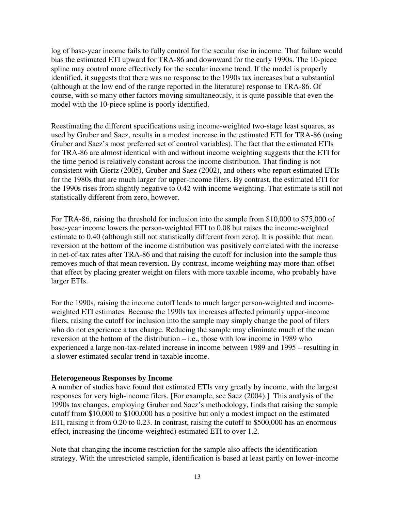log of base-year income fails to fully control for the secular rise in income. That failure would bias the estimated ETI upward for TRA-86 and downward for the early 1990s. The 10-piece spline may control more effectively for the secular income trend. If the model is properly identified, it suggests that there was no response to the 1990s tax increases but a substantial (although at the low end of the range reported in the literature) response to TRA-86. Of course, with so many other factors moving simultaneously, it is quite possible that even the model with the 10-piece spline is poorly identified.

Reestimating the different specifications using income-weighted two-stage least squares, as used by Gruber and Saez, results in a modest increase in the estimated ETI for TRA-86 (using Gruber and Saez's most preferred set of control variables). The fact that the estimated ETIs for TRA-86 are almost identical with and without income weighting suggests that the ETI for the time period is relatively constant across the income distribution. That finding is not consistent with Giertz (2005), Gruber and Saez (2002), and others who report estimated ETIs for the 1980s that are much larger for upper-income filers. By contrast, the estimated ETI for the 1990s rises from slightly negative to 0.42 with income weighting. That estimate is still not statistically different from zero, however.

For TRA-86, raising the threshold for inclusion into the sample from \$10,000 to \$75,000 of base-year income lowers the person-weighted ETI to 0.08 but raises the income-weighted estimate to 0.40 (although still not statistically different from zero). It is possible that mean reversion at the bottom of the income distribution was positively correlated with the increase in net-of-tax rates after TRA-86 and that raising the cutoff for inclusion into the sample thus removes much of that mean reversion. By contrast, income weighting may more than offset that effect by placing greater weight on filers with more taxable income, who probably have larger ETIs.

For the 1990s, raising the income cutoff leads to much larger person-weighted and incomeweighted ETI estimates. Because the 1990s tax increases affected primarily upper-income filers, raising the cutoff for inclusion into the sample may simply change the pool of filers who do not experience a tax change. Reducing the sample may eliminate much of the mean reversion at the bottom of the distribution – i.e., those with low income in 1989 who experienced a large non-tax-related increase in income between 1989 and 1995 – resulting in a slower estimated secular trend in taxable income.

#### **Heterogeneous Responses by Income**

A number of studies have found that estimated ETIs vary greatly by income, with the largest responses for very high-income filers. [For example, see Saez (2004).] This analysis of the 1990s tax changes, employing Gruber and Saez's methodology, finds that raising the sample cutoff from \$10,000 to \$100,000 has a positive but only a modest impact on the estimated ETI, raising it from 0.20 to 0.23. In contrast, raising the cutoff to \$500,000 has an enormous effect, increasing the (income-weighted) estimated ETI to over 1.2.

Note that changing the income restriction for the sample also affects the identification strategy. With the unrestricted sample, identification is based at least partly on lower-income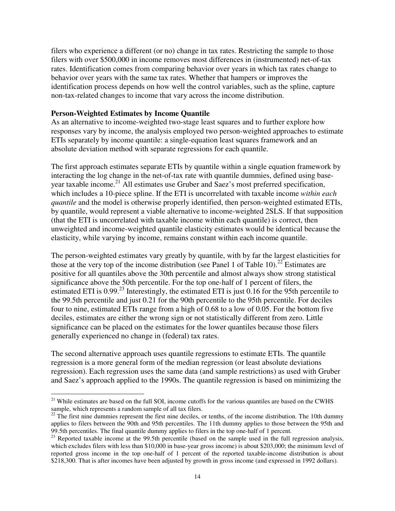filers who experience a different (or no) change in tax rates. Restricting the sample to those filers with over \$500,000 in income removes most differences in (instrumented) net-of-tax rates. Identification comes from comparing behavior over years in which tax rates change to behavior over years with the same tax rates. Whether that hampers or improves the identification process depends on how well the control variables, such as the spline, capture non-tax-related changes to income that vary across the income distribution.

#### **Person-Weighted Estimates by Income Quantile**

As an alternative to income-weighted two-stage least squares and to further explore how responses vary by income, the analysis employed two person-weighted approaches to estimate ETIs separately by income quantile: a single-equation least squares framework and an absolute deviation method with separate regressions for each quantile.

The first approach estimates separate ETIs by quantile within a single equation framework by interacting the log change in the net-of-tax rate with quantile dummies, defined using baseyear taxable income.<sup>21</sup> All estimates use Gruber and Saez's most preferred specification, which includes a 10-piece spline. If the ETI is uncorrelated with taxable income *within each quantile* and the model is otherwise properly identified, then person-weighted estimated ETIs, by quantile, would represent a viable alternative to income-weighted 2SLS. If that supposition (that the ETI is uncorrelated with taxable income within each quantile) is correct, then unweighted and income-weighted quantile elasticity estimates would be identical because the elasticity, while varying by income, remains constant within each income quantile.

The person-weighted estimates vary greatly by quantile, with by far the largest elasticities for those at the very top of the income distribution (see Panel 1 of Table 10).<sup>22</sup> Estimates are positive for all quantiles above the 30th percentile and almost always show strong statistical significance above the 50th percentile. For the top one-half of 1 percent of filers, the estimated ETI is  $0.99<sup>23</sup>$  Interestingly, the estimated ETI is just  $0.16$  for the 95th percentile to the 99.5th percentile and just 0.21 for the 90th percentile to the 95th percentile. For deciles four to nine, estimated ETIs range from a high of 0.68 to a low of 0.05. For the bottom five deciles, estimates are either the wrong sign or not statistically different from zero. Little significance can be placed on the estimates for the lower quantiles because those filers generally experienced no change in (federal) tax rates.

The second alternative approach uses quantile regressions to estimate ETIs. The quantile regression is a more general form of the median regression (or least absolute deviations regression). Each regression uses the same data (and sample restrictions) as used with Gruber and Saez's approach applied to the 1990s. The quantile regression is based on minimizing the

 $21$  While estimates are based on the full SOI, income cutoffs for the various quantiles are based on the CWHS sample, which represents a random sample of all tax filers.

 $^{22}$  The first nine dummies represent the first nine deciles, or tenths, of the income distribution. The 10th dummy applies to filers between the 90th and 95th percentiles. The 11th dummy applies to those between the 95th and 99.5th percentiles. The final quantile dummy applies to filers in the top one-half of 1 percent.

<sup>&</sup>lt;sup>23</sup> Reported taxable income at the 99.5th percentile (based on the sample used in the full regression analysis, which excludes filers with less than \$10,000 in base-year gross income) is about \$203,000; the minimum level of reported gross income in the top one-half of 1 percent of the reported taxable-income distribution is about \$218,300. That is after incomes have been adjusted by growth in gross income (and expressed in 1992 dollars).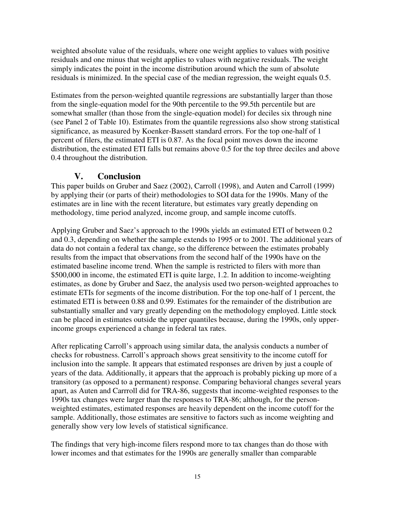weighted absolute value of the residuals, where one weight applies to values with positive residuals and one minus that weight applies to values with negative residuals. The weight simply indicates the point in the income distribution around which the sum of absolute residuals is minimized. In the special case of the median regression, the weight equals 0.5.

Estimates from the person-weighted quantile regressions are substantially larger than those from the single-equation model for the 90th percentile to the 99.5th percentile but are somewhat smaller (than those from the single-equation model) for deciles six through nine (see Panel 2 of Table 10). Estimates from the quantile regressions also show strong statistical significance, as measured by Koenker-Bassett standard errors. For the top one-half of 1 percent of filers, the estimated ETI is 0.87. As the focal point moves down the income distribution, the estimated ETI falls but remains above 0.5 for the top three deciles and above 0.4 throughout the distribution.

## **V. Conclusion**

This paper builds on Gruber and Saez (2002), Carroll (1998), and Auten and Carroll (1999) by applying their (or parts of their) methodologies to SOI data for the 1990s. Many of the estimates are in line with the recent literature, but estimates vary greatly depending on methodology, time period analyzed, income group, and sample income cutoffs.

Applying Gruber and Saez's approach to the 1990s yields an estimated ETI of between 0.2 and 0.3, depending on whether the sample extends to 1995 or to 2001. The additional years of data do not contain a federal tax change, so the difference between the estimates probably results from the impact that observations from the second half of the 1990s have on the estimated baseline income trend. When the sample is restricted to filers with more than \$500,000 in income, the estimated ETI is quite large, 1.2. In addition to income-weighting estimates, as done by Gruber and Saez, the analysis used two person-weighted approaches to estimate ETIs for segments of the income distribution. For the top one-half of 1 percent, the estimated ETI is between 0.88 and 0.99. Estimates for the remainder of the distribution are substantially smaller and vary greatly depending on the methodology employed. Little stock can be placed in estimates outside the upper quantiles because, during the 1990s, only upperincome groups experienced a change in federal tax rates.

After replicating Carroll's approach using similar data, the analysis conducts a number of checks for robustness. Carroll's approach shows great sensitivity to the income cutoff for inclusion into the sample. It appears that estimated responses are driven by just a couple of years of the data. Additionally, it appears that the approach is probably picking up more of a transitory (as opposed to a permanent) response. Comparing behavioral changes several years apart, as Auten and Carrroll did for TRA-86, suggests that income-weighted responses to the 1990s tax changes were larger than the responses to TRA-86; although, for the personweighted estimates, estimated responses are heavily dependent on the income cutoff for the sample. Additionally, those estimates are sensitive to factors such as income weighting and generally show very low levels of statistical significance.

The findings that very high-income filers respond more to tax changes than do those with lower incomes and that estimates for the 1990s are generally smaller than comparable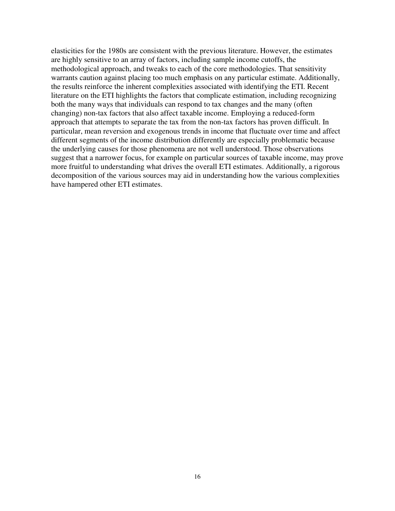elasticities for the 1980s are consistent with the previous literature. However, the estimates are highly sensitive to an array of factors, including sample income cutoffs, the methodological approach, and tweaks to each of the core methodologies. That sensitivity warrants caution against placing too much emphasis on any particular estimate. Additionally, the results reinforce the inherent complexities associated with identifying the ETI. Recent literature on the ETI highlights the factors that complicate estimation, including recognizing both the many ways that individuals can respond to tax changes and the many (often changing) non-tax factors that also affect taxable income. Employing a reduced-form approach that attempts to separate the tax from the non-tax factors has proven difficult. In particular, mean reversion and exogenous trends in income that fluctuate over time and affect different segments of the income distribution differently are especially problematic because the underlying causes for those phenomena are not well understood. Those observations suggest that a narrower focus, for example on particular sources of taxable income, may prove more fruitful to understanding what drives the overall ETI estimates. Additionally, a rigorous decomposition of the various sources may aid in understanding how the various complexities have hampered other ETI estimates.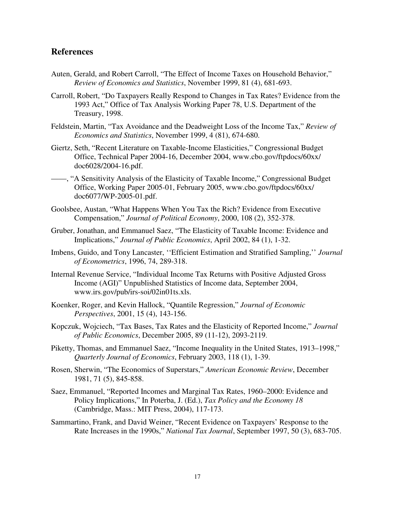#### **References**

- Auten, Gerald, and Robert Carroll, "The Effect of Income Taxes on Household Behavior," *Review of Economics and Statistics*, November 1999, 81 (4), 681-693.
- Carroll, Robert, "Do Taxpayers Really Respond to Changes in Tax Rates? Evidence from the 1993 Act," Office of Tax Analysis Working Paper 78, U.S. Department of the Treasury, 1998.
- Feldstein, Martin, "Tax Avoidance and the Deadweight Loss of the Income Tax," *Review of Economics and Statistics*, November 1999, 4 (81), 674-680.
- Giertz, Seth, "Recent Literature on Taxable-Income Elasticities," Congressional Budget Office, Technical Paper 2004-16, December 2004, www.cbo.gov/ftpdocs/60xx/ doc6028/2004-16.pdf.
- ——, "A Sensitivity Analysis of the Elasticity of Taxable Income," Congressional Budget Office, Working Paper 2005-01, February 2005, www.cbo.gov/ftpdocs/60xx/ doc6077/WP-2005-01.pdf.
- Goolsbee, Austan, "What Happens When You Tax the Rich? Evidence from Executive Compensation," *Journal of Political Economy*, 2000, 108 (2), 352-378.
- Gruber, Jonathan, and Emmanuel Saez, "The Elasticity of Taxable Income: Evidence and Implications," *Journal of Public Economics*, April 2002, 84 (1), 1-32.
- Imbens, Guido, and Tony Lancaster, ''Efficient Estimation and Stratified Sampling,'' *Journal of Econometrics*, 1996, 74, 289-318.
- Internal Revenue Service, "Individual Income Tax Returns with Positive Adjusted Gross Income (AGI)" Unpublished Statistics of Income data, September 2004, www.irs.gov/pub/irs-soi/02in01ts.xls.
- Koenker, Roger, and Kevin Hallock, "Quantile Regression," *Journal of Economic Perspectives*, 2001, 15 (4), 143-156.
- Kopczuk, Wojciech, "Tax Bases, Tax Rates and the Elasticity of Reported Income," *Journal of Public Economics*, December 2005, 89 (11-12), 2093-2119.
- Piketty, Thomas, and Emmanuel Saez, "Income Inequality in the United States, 1913–1998," *Quarterly Journal of Economics*, February 2003, 118 (1), 1-39.
- Rosen, Sherwin, "The Economics of Superstars," *American Economic Review*, December 1981, 71 (5), 845-858.
- Saez, Emmanuel, "Reported Incomes and Marginal Tax Rates, 1960–2000: Evidence and Policy Implications," In Poterba, J. (Ed.), *Tax Policy and the Economy 18* (Cambridge, Mass.: MIT Press, 2004), 117-173.
- Sammartino, Frank, and David Weiner, "Recent Evidence on Taxpayers' Response to the Rate Increases in the 1990s," *National Tax Journal*, September 1997, 50 (3), 683-705.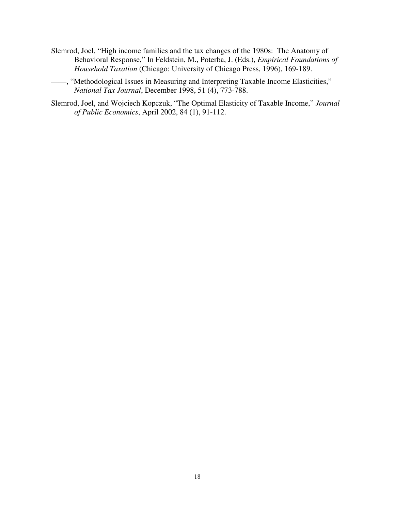Slemrod, Joel, "High income families and the tax changes of the 1980s: The Anatomy of Behavioral Response," In Feldstein, M., Poterba, J. (Eds.), *Empirical Foundations of Household Taxation* (Chicago: University of Chicago Press, 1996), 169-189.

——, "Methodological Issues in Measuring and Interpreting Taxable Income Elasticities," *National Tax Journal*, December 1998, 51 (4), 773-788.

Slemrod, Joel, and Wojciech Kopczuk, "The Optimal Elasticity of Taxable Income," *Journal of Public Economics*, April 2002, 84 (1), 91-112.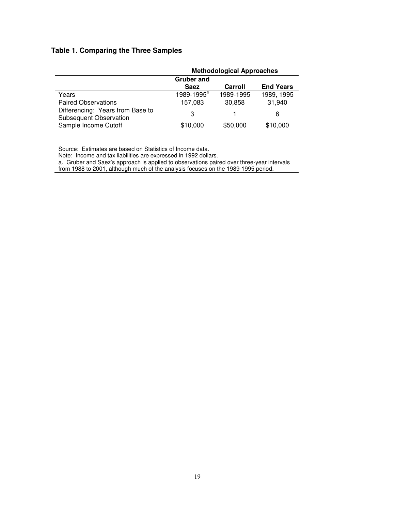#### **Table 1. Comparing the Three Samples**

|                                                                   | <b>Methodological Approaches</b> |           |                  |  |  |  |
|-------------------------------------------------------------------|----------------------------------|-----------|------------------|--|--|--|
|                                                                   | <b>Gruber and</b>                |           |                  |  |  |  |
|                                                                   | <b>Saez</b>                      | Carroll   | <b>End Years</b> |  |  |  |
| Years                                                             | 1989-1995 <sup>a</sup>           | 1989-1995 | 1989, 1995       |  |  |  |
| <b>Paired Observations</b>                                        | 157,083                          | 30.858    | 31,940           |  |  |  |
| Differencing: Years from Base to<br><b>Subsequent Observation</b> | 3                                |           | 6                |  |  |  |
| Sample Income Cutoff                                              | \$10,000                         | \$50,000  | \$10,000         |  |  |  |

Source: Estimates are based on Statistics of Income data.

Note: Income and tax liabilities are expressed in 1992 dollars.

a. Gruber and Saez's approach is applied to observations paired over three-year intervals from 1988 to 2001, although much of the analysis focuses on the 1989-1995 period.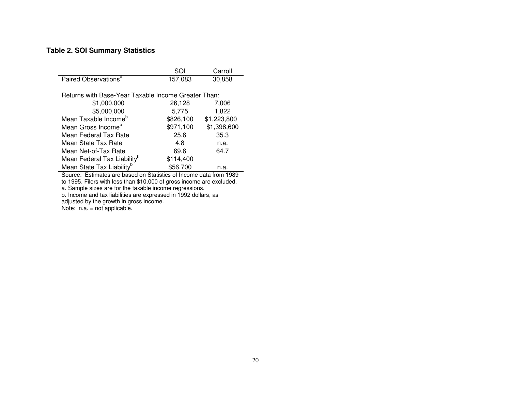#### **Table 2. SOI Summary Statistics**

|                                                     | SOI       | Carroll     |
|-----------------------------------------------------|-----------|-------------|
| Paired Observations <sup>a</sup>                    | 157,083   | 30,858      |
|                                                     |           |             |
| Returns with Base-Year Taxable Income Greater Than: |           |             |
| \$1,000,000                                         | 26,128    | 7,006       |
| \$5,000,000                                         | 5,775     | 1,822       |
| Mean Taxable Income <sup>b</sup>                    | \$826,100 | \$1,223,800 |
| Mean Gross Income <sup>b</sup>                      | \$971,100 | \$1,398,600 |
| Mean Federal Tax Rate                               | 25.6      | 35.3        |
| Mean State Tax Rate                                 | 4.8       | n.a.        |
| Mean Net-of-Tax Rate                                | 69.6      | 64.7        |
| Mean Federal Tax Liability <sup>b</sup>             | \$114,400 |             |
| Mean State Tax Liability <sup>b</sup>               | \$56,700  | n.a.        |

Source: Estimates are based on Statistics of Income data from 1989 to 1995. Filers with less than \$10,000 of gross income are excluded.

a. Sample sizes are for the taxable income regressions.

b. Income and tax liabilities are expressed in 1992 dollars, as adjusted by the growth in gross income.

Note: n.a. <sup>=</sup> not applicable.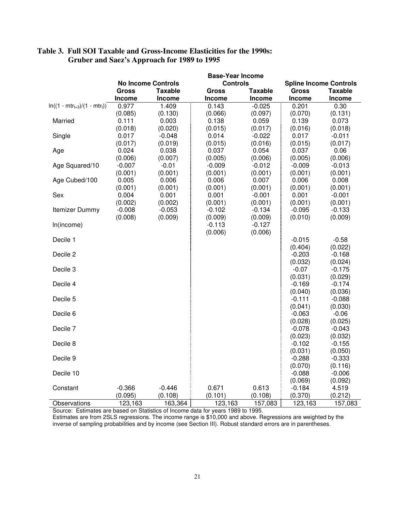|                                   |          |                           | <b>Base-Year Income</b> |          |                     |                               |
|-----------------------------------|----------|---------------------------|-------------------------|----------|---------------------|-------------------------------|
|                                   |          | <b>No Income Controls</b> | <b>Controls</b>         |          |                     | <b>Spline Income Controls</b> |
|                                   | Gross    | <b>Taxable</b>            | <b>Gross</b>            | Taxable  | <b>Gross</b>        | Taxable                       |
|                                   | Income   | Income                    | Income                  | Income   | Income              | Income                        |
| $ln((1 - mtr_{t+3})/(1 - mtr_t))$ | 0.977    | 1.409                     | 0.143                   | $-0.025$ | 0.201               | 0.30                          |
|                                   | (0.085)  | (0.130)                   | (0.066)                 | (0.097)  | (0.070)             | (0.131)                       |
| Married                           | 0.111    | 0.003                     | 0.138                   | 0.059    | 0.139               | 0.073                         |
|                                   | (0.018)  | (0.020)                   | (0.015)                 | (0.017)  | (0.016)             | (0.018)                       |
| Single                            | 0.017    | $-0.048$                  | 0.014                   | $-0.022$ | 0.017               | $-0.011$                      |
|                                   | (0.017)  | (0.019)                   | (0.015)                 | (0.016)  | (0.015)             | (0.017)                       |
| Age                               | 0.024    | 0.038                     | 0.037                   | 0.054    | 0.037               | 0.06                          |
|                                   | (0.006)  | (0.007)                   | (0.005)                 | (0.006)  | (0.005)             | (0.006)                       |
| Age Squared/10                    | $-0.007$ | $-0.01$                   | $-0.009$                | $-0.012$ | $-0.009$            | $-0.013$                      |
|                                   | (0.001)  | (0.001)                   | (0.001)                 | (0.001)  | (0.001)             | (0.001)                       |
| Age Cubed/100                     | 0.005    | 0.006                     | 0.006                   | 0.007    | 0.006               | 0.008                         |
|                                   | (0.001)  | (0.001)                   | (0.001)                 | (0.001)  | (0.001)             | (0.001)                       |
| Sex                               | 0.004    | 0.001                     | 0.001                   | $-0.001$ | 0.001               | $-0.001$                      |
|                                   | (0.002)  | (0.002)                   | (0.001)                 | (0.001)  | (0.001)             | (0.001)                       |
| Itemizer Dummy                    | $-0.008$ | $-0.053$                  | $-0.102$                | $-0.134$ | $-0.095$            | $-0.133$                      |
|                                   | (0.008)  | (0.009)                   | (0.009)                 | (0.009)  | (0.010)             | (0.009)                       |
| In(income)                        |          |                           | $-0.113$                | $-0.127$ |                     |                               |
|                                   |          |                           | (0.006)                 | (0.006)  |                     |                               |
| Decile 1                          |          |                           |                         |          | $-0.015$            | $-0.58$                       |
|                                   |          |                           |                         |          | (0.404)             | (0.022)                       |
| Decile 2                          |          |                           |                         |          | $-0.203$<br>(0.032) | $-0.168$                      |
| Decile 3                          |          |                           |                         |          | $-0.07$             | (0.024)<br>$-0.175$           |
|                                   |          |                           |                         |          | (0.031)             | (0.029)                       |
| Decile 4                          |          |                           |                         |          | $-0.169$            | $-0.174$                      |
|                                   |          |                           |                         |          | (0.040)             | (0.036)                       |
| Decile 5                          |          |                           |                         |          | $-0.111$            | $-0.088$                      |
|                                   |          |                           |                         |          | (0.041)             | (0.030)                       |
| Decile 6                          |          |                           |                         |          | $-0.063$            | $-0.06$                       |
|                                   |          |                           |                         |          | (0.028)             | (0.025)                       |
| Decile 7                          |          |                           |                         |          | $-0.078$            | $-0.043$                      |
|                                   |          |                           |                         |          | (0.023)             | (0.032)                       |
| Decile 8                          |          |                           |                         |          | $-0.102$            | $-0.155$                      |
|                                   |          |                           |                         |          | (0.031)             | (0.050)                       |
| Decile 9                          |          |                           |                         |          | $-0.288$            | $-0.333$                      |
|                                   |          |                           |                         |          | (0.070)             | (0.116)                       |
| Decile 10                         |          |                           |                         |          | $-0.088$            | $-0.006$                      |
|                                   |          |                           |                         |          | (0.069)             | (0.092)                       |
| Constant                          | $-0.366$ | $-0.446$                  | 0.671                   | 0.613    | $-0.184$            | 4.519                         |
|                                   | (0.095)  | (0.108)                   | (0.101)                 | (0.108)  | (0.370)             | (0.212)                       |
| Observations                      | 123,163  | 163,364                   | 123,163                 | 157,083  | 123,163             | 157,083                       |

#### **Table 3. Full SOI Taxable and Gross-Income Elasticities for the 1990s: Gruber and Saez's Approach for 1989 to 1995**

Source: Estimates are based on Statistics of Income data for years 1989 to 1995.

Estimates are from 2SLS regressions. The income range is \$10,000 and above. Regressions are weighted by the inverse of sampling probabilities and by income (see Section III). Robust standard errors are in parentheses.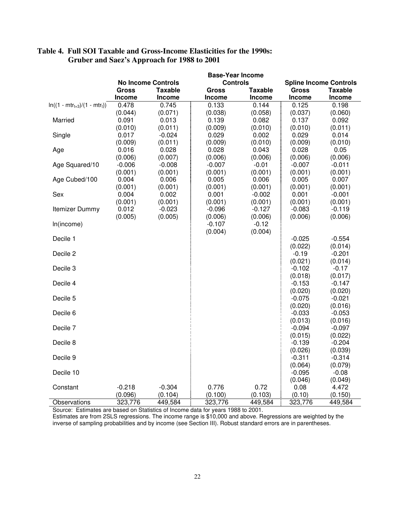|                                   |          |                           | <b>Base-Year Income</b> |               |          |                               |
|-----------------------------------|----------|---------------------------|-------------------------|---------------|----------|-------------------------------|
|                                   |          | <b>No Income Controls</b> | <b>Controls</b>         |               |          | <b>Spline Income Controls</b> |
|                                   | Gross    | Taxable                   | Gross                   | Taxable       | Gross    | Taxable                       |
|                                   | Income   | <b>Income</b>             | Income                  | <b>Income</b> | Income   | Income                        |
| $ln((1 - mtr_{t+3})/(1 - mtr_t))$ | 0.478    | 0.745                     | 0.133                   | 0.144         | 0.125    | 0.198                         |
|                                   | (0.044)  | (0.071)                   | (0.038)                 | (0.058)       | (0.037)  | (0.060)                       |
| Married                           | 0.091    | 0.013                     | 0.139                   | 0.082         | 0.137    | 0.092                         |
|                                   | (0.010)  | (0.011)                   | (0.009)                 | (0.010)       | (0.010)  | (0.011)                       |
| Single                            | 0.017    | $-0.024$                  | 0.029                   | 0.002         | 0.029    | 0.014                         |
|                                   | (0.009)  | (0.011)                   | (0.009)                 | (0.010)       | (0.009)  | (0.010)                       |
| Age                               | 0.016    | 0.028                     | 0.028                   | 0.043         | 0.028    | 0.05                          |
|                                   | (0.006)  | (0.007)                   | (0.006)                 | (0.006)       | (0.006)  | (0.006)                       |
| Age Squared/10                    | $-0.006$ | $-0.008$                  | $-0.007$                | $-0.01$       | $-0.007$ | $-0.011$                      |
|                                   | (0.001)  | (0.001)                   | (0.001)                 | (0.001)       | (0.001)  | (0.001)                       |
| Age Cubed/100                     | 0.004    | 0.006                     | 0.005                   | 0.006         | 0.005    | 0.007                         |
|                                   | (0.001)  | (0.001)                   | (0.001)                 | (0.001)       | (0.001)  | (0.001)                       |
| Sex                               | 0.004    | 0.002                     | 0.001                   | $-0.002$      | 0.001    | $-0.001$                      |
|                                   | (0.001)  | (0.001)                   | (0.001)                 | (0.001)       | (0.001)  | (0.001)                       |
| Itemizer Dummy                    | 0.012    | $-0.023$                  | $-0.096$                | $-0.127$      | $-0.083$ | $-0.119$                      |
|                                   | (0.005)  | (0.005)                   | (0.006)                 | (0.006)       | (0.006)  | (0.006)                       |
| In(income)                        |          |                           | $-0.107$<br>(0.004)     | $-0.12$       |          |                               |
| Decile 1                          |          |                           |                         | (0.004)       | $-0.025$ | $-0.554$                      |
|                                   |          |                           |                         |               | (0.022)  | (0.014)                       |
| Decile 2                          |          |                           |                         |               | $-0.19$  | $-0.201$                      |
|                                   |          |                           |                         |               | (0.021)  | (0.014)                       |
| Decile 3                          |          |                           |                         |               | $-0.102$ | $-0.17$                       |
|                                   |          |                           |                         |               | (0.018)  | (0.017)                       |
| Decile 4                          |          |                           |                         |               | $-0.153$ | $-0.147$                      |
|                                   |          |                           |                         |               | (0.020)  | (0.020)                       |
| Decile 5                          |          |                           |                         |               | $-0.075$ | $-0.021$                      |
|                                   |          |                           |                         |               | (0.020)  | (0.016)                       |
| Decile 6                          |          |                           |                         |               | $-0.033$ | $-0.053$                      |
|                                   |          |                           |                         |               | (0.013)  | (0.016)                       |
| Decile 7                          |          |                           |                         |               | $-0.094$ | $-0.097$                      |
|                                   |          |                           |                         |               | (0.015)  | (0.022)                       |
| Decile 8                          |          |                           |                         |               | $-0.139$ | $-0.204$                      |
|                                   |          |                           |                         |               | (0.026)  | (0.039)                       |
| Decile 9                          |          |                           |                         |               | $-0.311$ | $-0.314$                      |
|                                   |          |                           |                         |               | (0.064)  | (0.079)                       |
| Decile 10                         |          |                           |                         |               | $-0.095$ | $-0.08$                       |
|                                   |          |                           |                         |               | (0.046)  | (0.049)                       |
| Constant                          | $-0.218$ | $-0.304$                  | 0.776                   | 0.72          | 0.08     | 4.472                         |
|                                   | (0.096)  | (0.104)                   | (0.100)                 | (0.103)       | (0.10)   | (0.150)                       |
| Observations                      | 323,776  | 449,584                   | 323,776                 | 449,584       | 323,776  | 449,584                       |

#### **Table 4. Full SOI Taxable and Gross-Income Elasticities for the 1990s: Gruber and Saez's Approach for 1988 to 2001**

Source: Estimates are based on Statistics of Income data for years 1988 to 2001.

Estimates are from 2SLS regressions. The income range is \$10,000 and above. Regressions are weighted by the inverse of sampling probabilities and by income (see Section III). Robust standard errors are in parentheses.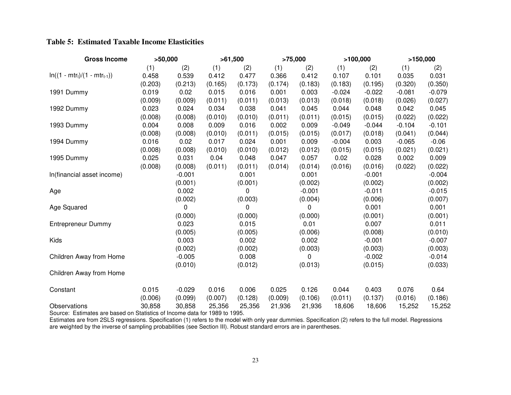#### **Table 5: Estimated Taxable Income Elasticities**

| <b>Gross Income</b>               | >50,000 |          | >61,500 |         | >75,000 |          | >100,000 |          | >150,000 |          |
|-----------------------------------|---------|----------|---------|---------|---------|----------|----------|----------|----------|----------|
|                                   | (1)     | (2)      | (1)     | (2)     | (1)     | (2)      | (1)      | (2)      | (1)      | (2)      |
| $ln((1 - mtr_t)/(1 - mtr_{t-1}))$ | 0.458   | 0.539    | 0.412   | 0.477   | 0.366   | 0.412    | 0.107    | 0.101    | 0.035    | 0.031    |
|                                   | (0.203) | (0.213)  | (0.165) | (0.173) | (0.174) | (0.183)  | (0.183)  | (0.195)  | (0.320)  | (0.350)  |
| 1991 Dummy                        | 0.019   | 0.02     | 0.015   | 0.016   | 0.001   | 0.003    | $-0.024$ | $-0.022$ | $-0.081$ | $-0.079$ |
|                                   | (0.009) | (0.009)  | (0.011) | (0.011) | (0.013) | (0.013)  | (0.018)  | (0.018)  | (0.026)  | (0.027)  |
| 1992 Dummy                        | 0.023   | 0.024    | 0.034   | 0.038   | 0.041   | 0.045    | 0.044    | 0.048    | 0.042    | 0.045    |
|                                   | (0.008) | (0.008)  | (0.010) | (0.010) | (0.011) | (0.011)  | (0.015)  | (0.015)  | (0.022)  | (0.022)  |
| 1993 Dummy                        | 0.004   | 0.008    | 0.009   | 0.016   | 0.002   | 0.009    | $-0.049$ | $-0.044$ | $-0.104$ | $-0.101$ |
|                                   | (0.008) | (0.008)  | (0.010) | (0.011) | (0.015) | (0.015)  | (0.017)  | (0.018)  | (0.041)  | (0.044)  |
| 1994 Dummy                        | 0.016   | 0.02     | 0.017   | 0.024   | 0.001   | 0.009    | $-0.004$ | 0.003    | $-0.065$ | $-0.06$  |
|                                   | (0.008) | (0.008)  | (0.010) | (0.010) | (0.012) | (0.012)  | (0.015)  | (0.015)  | (0.021)  | (0.021)  |
| 1995 Dummy                        | 0.025   | 0.031    | 0.04    | 0.048   | 0.047   | 0.057    | 0.02     | 0.028    | 0.002    | 0.009    |
|                                   | (0.008) | (0.008)  | (0.011) | (0.011) | (0.014) | (0.014)  | (0.016)  | (0.016)  | (0.022)  | (0.022)  |
| In(financial asset income)        |         | $-0.001$ |         | 0.001   |         | 0.001    |          | $-0.001$ |          | $-0.004$ |
|                                   |         | (0.001)  |         | (0.001) |         | (0.002)  |          | (0.002)  |          | (0.002)  |
| Age                               |         | 0.002    |         | 0       |         | $-0.001$ |          | $-0.011$ |          | $-0.015$ |
|                                   |         | (0.002)  |         | (0.003) |         | (0.004)  |          | (0.006)  |          | (0.007)  |
| Age Squared                       |         | 0        |         | 0       |         | 0        |          | 0.001    |          | 0.001    |
|                                   |         | (0.000)  |         | (0.000) |         | (0.000)  |          | (0.001)  |          | (0.001)  |
| <b>Entrepreneur Dummy</b>         |         | 0.023    |         | 0.015   |         | 0.01     |          | 0.007    |          | 0.011    |
|                                   |         | (0.005)  |         | (0.005) |         | (0.006)  |          | (0.008)  |          | (0.010)  |
| Kids                              |         | 0.003    |         | 0.002   |         | 0.002    |          | $-0.001$ |          | $-0.007$ |
|                                   |         | (0.002)  |         | (0.002) |         | (0.003)  |          | (0.003)  |          | (0.003)  |
| Children Away from Home           |         | $-0.005$ |         | 0.008   |         | 0        |          | $-0.002$ |          | $-0.014$ |
|                                   |         | (0.010)  |         | (0.012) |         | (0.013)  |          | (0.015)  |          | (0.033)  |
| Children Away from Home           |         |          |         |         |         |          |          |          |          |          |
| Constant                          | 0.015   | $-0.029$ | 0.016   | 0.006   | 0.025   | 0.126    | 0.044    | 0.403    | 0.076    | 0.64     |
|                                   | (0.006) | (0.099)  | (0.007) | (0.128) | (0.009) | (0.106)  | (0.011)  | (0.137)  | (0.016)  | (0.186)  |
| Observations                      | 30,858  | 30,858   | 25,356  | 25,356  | 21,936  | 21,936   | 18,606   | 18,606   | 15,252   | 15,252   |

Source: Estimates are based on Statistics of Income data for 1989 to 1995.

Estimates are from 2SLS regressions. Specification (1) refers to the model with only year dummies. Specification (2) refers to the full model. Regressions<br>are weighted by the inverse of sampling probabilities (see Section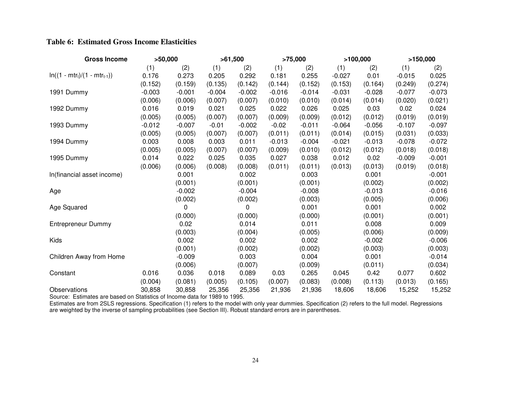#### **Table 6: Estimated Gross Income Elasticities**

| <b>Gross Income</b>               | >50,000  |          |          | >61,500  | >75,000  |          |          | >100,000 | >150,000 |          |
|-----------------------------------|----------|----------|----------|----------|----------|----------|----------|----------|----------|----------|
|                                   | (1)      | (2)      | (1)      | (2)      | (1)      | (2)      | (1)      | (2)      | (1)      | (2)      |
| $ln((1 - mtr_t)/(1 - mtr_{t-1}))$ | 0.176    | 0.273    | 0.205    | 0.292    | 0.181    | 0.255    | $-0.027$ | 0.01     | $-0.015$ | 0.025    |
|                                   | (0.152)  | (0.159)  | (0.135)  | (0.142)  | (0.144)  | (0.152)  | (0.153)  | (0.164)  | (0.249)  | (0.274)  |
| 1991 Dummy                        | $-0.003$ | $-0.001$ | $-0.004$ | $-0.002$ | $-0.016$ | $-0.014$ | $-0.031$ | $-0.028$ | $-0.077$ | $-0.073$ |
|                                   | (0.006)  | (0.006)  | (0.007)  | (0.007)  | (0.010)  | (0.010)  | (0.014)  | (0.014)  | (0.020)  | (0.021)  |
| 1992 Dummy                        | 0.016    | 0.019    | 0.021    | 0.025    | 0.022    | 0.026    | 0.025    | 0.03     | 0.02     | 0.024    |
|                                   | (0.005)  | (0.005)  | (0.007)  | (0.007)  | (0.009)  | (0.009)  | (0.012)  | (0.012)  | (0.019)  | (0.019)  |
| 1993 Dummy                        | $-0.012$ | $-0.007$ | $-0.01$  | $-0.002$ | $-0.02$  | $-0.011$ | $-0.064$ | $-0.056$ | $-0.107$ | $-0.097$ |
|                                   | (0.005)  | (0.005)  | (0.007)  | (0.007)  | (0.011)  | (0.011)  | (0.014)  | (0.015)  | (0.031)  | (0.033)  |
| 1994 Dummy                        | 0.003    | 0.008    | 0.003    | 0.011    | $-0.013$ | $-0.004$ | $-0.021$ | $-0.013$ | $-0.078$ | $-0.072$ |
|                                   | (0.005)  | (0.005)  | (0.007)  | (0.007)  | (0.009)  | (0.010)  | (0.012)  | (0.012)  | (0.018)  | (0.018)  |
| 1995 Dummy                        | 0.014    | 0.022    | 0.025    | 0.035    | 0.027    | 0.038    | 0.012    | 0.02     | $-0.009$ | $-0.001$ |
|                                   | (0.006)  | (0.006)  | (0.008)  | (0.008)  | (0.011)  | (0.011)  | (0.013)  | (0.013)  | (0.019)  | (0.018)  |
| In(financial asset income)        |          | 0.001    |          | 0.002    |          | 0.003    |          | 0.001    |          | $-0.001$ |
|                                   |          | (0.001)  |          | (0.001)  |          | (0.001)  |          | (0.002)  |          | (0.002)  |
| Age                               |          | $-0.002$ |          | $-0.004$ |          | $-0.008$ |          | $-0.013$ |          | $-0.016$ |
|                                   |          | (0.002)  |          | (0.002)  |          | (0.003)  |          | (0.005)  |          | (0.006)  |
| Age Squared                       |          | 0        |          | 0        |          | 0.001    |          | 0.001    |          | 0.002    |
|                                   |          | (0.000)  |          | (0.000)  |          | (0.000)  |          | (0.001)  |          | (0.001)  |
| Entrepreneur Dummy                |          | 0.02     |          | 0.014    |          | 0.011    |          | 0.008    |          | 0.009    |
|                                   |          | (0.003)  |          | (0.004)  |          | (0.005)  |          | (0.006)  |          | (0.009)  |
| Kids                              |          | 0.002    |          | 0.002    |          | 0.002    |          | $-0.002$ |          | $-0.006$ |
|                                   |          | (0.001)  |          | (0.002)  |          | (0.002)  |          | (0.003)  |          | (0.003)  |
| Children Away from Home           |          | $-0.009$ |          | 0.003    |          | 0.004    |          | 0.001    |          | $-0.014$ |
|                                   |          | (0.006)  |          | (0.007)  |          | (0.009)  |          | (0.011)  |          | (0.034)  |
| Constant                          | 0.016    | 0.036    | 0.018    | 0.089    | 0.03     | 0.265    | 0.045    | 0.42     | 0.077    | 0.602    |
|                                   | (0.004)  | (0.081)  | (0.005)  | (0.105)  | (0.007)  | (0.083)  | (0.008)  | (0.113)  | (0.013)  | (0.165)  |
| Observations                      | 30,858   | 30,858   | 25,356   | 25,356   | 21,936   | 21,936   | 18,606   | 18,606   | 15,252   | 15,252   |

Source: Estimates are based on Statistics of Income data for 1989 to 1995.

Estimates are from 2SLS regressions. Specification (1) refers to the model with only year dummies. Specification (2) refers to the full model. Regressions<br>are weighted by the inverse of sampling probabilities (see Section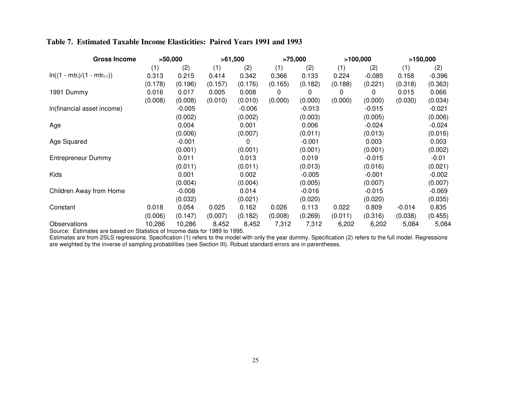#### **Table 7. Estimated Taxable Income Elasticities: Paired Years 1991 and 1993**

| <b>Gross Income</b>               |         | >50,000  |         | >61,500  |         | >75,000  | >100,000 |          | >150,000 |          |
|-----------------------------------|---------|----------|---------|----------|---------|----------|----------|----------|----------|----------|
|                                   | (1)     | (2)      | (1)     | (2)      | (1)     | (2)      | (1)      | (2)      | (1)      | (2)      |
| $ln((1 - mtr_t)/(1 - mtr_{t-1}))$ | 0.313   | 0.215    | 0.414   | 0.342    | 0.366   | 0.133    | 0.224    | $-0.085$ | 0.158    | $-0.396$ |
|                                   | (0.178) | (0.196)  | (0.157) | (0.176)  | (0.165) | (0.182)  | (0.188)  | (0.221)  | (0.318)  | (0.363)  |
| 1991 Dummy                        | 0.016   | 0.017    | 0.005   | 0.008    | 0       | 0        | 0        | 0        | 0.015    | 0.066    |
|                                   | (0.008) | (0.008)  | (0.010) | (0.010)  | (0.000) | (0.000)  | (0.000)  | (0.000)  | (0.030)  | (0.034)  |
| In(financial asset income)        |         | $-0.005$ |         | $-0.006$ |         | $-0.013$ |          | $-0.015$ |          | $-0.021$ |
|                                   |         | (0.002)  |         | (0.002)  |         | (0.003)  |          | (0.005)  |          | (0.006)  |
| Age                               |         | 0.004    |         | 0.001    |         | 0.006    |          | $-0.024$ |          | $-0.024$ |
|                                   |         | (0.006)  |         | (0.007)  |         | (0.011)  |          | (0.013)  |          | (0.016)  |
| Age Squared                       |         | $-0.001$ |         | 0        |         | $-0.001$ |          | 0.003    |          | 0.003    |
|                                   |         | (0.001)  |         | (0.001)  |         | (0.001)  |          | (0.001)  |          | (0.002)  |
| Entrepreneur Dummy                |         | 0.011    |         | 0.013    |         | 0.019    |          | $-0.015$ |          | $-0.01$  |
|                                   |         | (0.011)  |         | (0.011)  |         | (0.013)  |          | (0.016)  |          | (0.021)  |
| Kids                              |         | 0.001    |         | 0.002    |         | $-0.005$ |          | $-0.001$ |          | $-0.002$ |
|                                   |         | (0.004)  |         | (0.004)  |         | (0.005)  |          | (0.007)  |          | (0.007)  |
| Children Away from Home           |         | $-0.008$ |         | 0.014    |         | $-0.016$ |          | $-0.015$ |          | $-0.069$ |
|                                   |         | (0.032)  |         | (0.021)  |         | (0.020)  |          | (0.020)  |          | (0.035)  |
| Constant                          | 0.018   | 0.054    | 0.025   | 0.162    | 0.026   | 0.113    | 0.022    | 0.809    | $-0.014$ | 0.835    |
|                                   | (0.006) | (0.147)  | (0.007) | (0.182)  | (0.008) | (0.269)  | (0.011)  | (0.316)  | (0.038)  | (0.455)  |
| Observations                      | 10,286  | 10,286   | 8,452   | 8,452    | 7,312   | 7,312    | 6,202    | 6,202    | 5,084    | 5,084    |

Source: Estimates are based on Statistics of Income data for 1989 to 1995.

Estimates are from 2SLS regressions. Specification (1) refers to the model with only the year dummy. Specification (2) refers to the full model. Regressions<br>are weighted by the inverse of sampling probabilities (see Sectio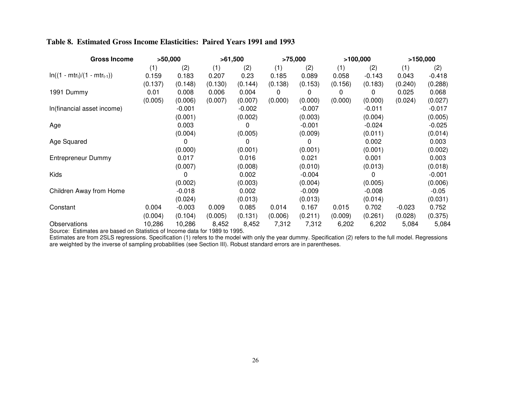#### **Table 8. Estimated Gross Income Elasticities: Paired Years 1991 and 1993**

| <b>Gross Income</b>               |         | >50,000  |         | >61,500  | >75,000 |          | >100,000 |          | >150,000 |          |
|-----------------------------------|---------|----------|---------|----------|---------|----------|----------|----------|----------|----------|
|                                   | (1)     | (2)      | (1)     | (2)      | (1)     | (2)      | (1)      | (2)      | (1)      | (2)      |
| $ln((1 - mtr_t)/(1 - mtr_{t-1}))$ | 0.159   | 0.183    | 0.207   | 0.23     | 0.185   | 0.089    | 0.058    | $-0.143$ | 0.043    | $-0.418$ |
|                                   | (0.137) | (0.148)  | (0.130) | (0.144)  | (0.138) | (0.153)  | (0.156)  | (0.183)  | (0.240)  | (0.288)  |
| 1991 Dummy                        | 0.01    | 0.008    | 0.006   | 0.004    | 0       | 0        | 0        | 0        | 0.025    | 0.068    |
|                                   | (0.005) | (0.006)  | (0.007) | (0.007)  | (0.000) | (0.000)  | (0.000)  | (0.000)  | (0.024)  | (0.027)  |
| In(financial asset income)        |         | $-0.001$ |         | $-0.002$ |         | $-0.007$ |          | $-0.011$ |          | $-0.017$ |
|                                   |         | (0.001)  |         | (0.002)  |         | (0.003)  |          | (0.004)  |          | (0.005)  |
| Age                               |         | 0.003    |         | 0        |         | $-0.001$ |          | $-0.024$ |          | $-0.025$ |
|                                   |         | (0.004)  |         | (0.005)  |         | (0.009)  |          | (0.011)  |          | (0.014)  |
| Age Squared                       |         | 0        |         | 0        |         | 0        |          | 0.002    |          | 0.003    |
|                                   |         | (0.000)  |         | (0.001)  |         | (0.001)  |          | (0.001)  |          | (0.002)  |
| Entrepreneur Dummy                |         | 0.017    |         | 0.016    |         | 0.021    |          | 0.001    |          | 0.003    |
|                                   |         | (0.007)  |         | (0.008)  |         | (0.010)  |          | (0.013)  |          | (0.018)  |
| Kids                              |         | 0        |         | 0.002    |         | $-0.004$ |          | 0        |          | $-0.001$ |
|                                   |         | (0.002)  |         | (0.003)  |         | (0.004)  |          | (0.005)  |          | (0.006)  |
| Children Away from Home           |         | $-0.018$ |         | 0.002    |         | $-0.009$ |          | $-0.008$ |          | $-0.05$  |
|                                   |         | (0.024)  |         | (0.013)  |         | (0.013)  |          | (0.014)  |          | (0.031)  |
| Constant                          | 0.004   | $-0.003$ | 0.009   | 0.085    | 0.014   | 0.167    | 0.015    | 0.702    | $-0.023$ | 0.752    |
|                                   | (0.004) | (0.104)  | (0.005) | (0.131)  | (0.006) | (0.211)  | (0.009)  | (0.261)  | (0.028)  | (0.375)  |
| Observations                      | 10,286  | 10,286   | 8,452   | 8,452    | 7,312   | 7,312    | 6,202    | 6,202    | 5,084    | 5,084    |

Source: Estimates are based on Statistics of Income data for 1989 to 1995.

Estimates are from 2SLS regressions. Specification (1) refers to the model with only the year dummy. Specification (2) refers to the full model. Regressions<br>are weighted by the inverse of sampling probabilities (see Sectio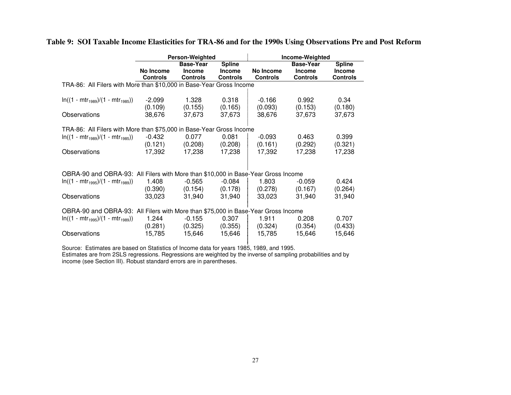|                                                                                   |                 | <b>Person-Weighted</b>            |                                | Income-Weighted |                                   |                                |  |  |
|-----------------------------------------------------------------------------------|-----------------|-----------------------------------|--------------------------------|-----------------|-----------------------------------|--------------------------------|--|--|
|                                                                                   | No Income       | <b>Base-Year</b><br><b>Income</b> | <b>Spline</b><br><b>Income</b> | No Income       | <b>Base-Year</b><br><b>Income</b> | <b>Spline</b><br><b>Income</b> |  |  |
|                                                                                   | <b>Controls</b> | <b>Controls</b>                   | <b>Controls</b>                | <b>Controls</b> | <b>Controls</b>                   | <b>Controls</b>                |  |  |
| TRA-86: All Filers with More than \$10,000 in Base-Year Gross Income              |                 |                                   |                                |                 |                                   |                                |  |  |
|                                                                                   |                 |                                   |                                |                 |                                   |                                |  |  |
| $ln((1 - mtr_{1989})/(1 - mtr_{1985}))$                                           | $-2.099$        | 1.328                             | 0.318                          | $-0.166$        | 0.992                             | 0.34                           |  |  |
|                                                                                   | (0.109)         | (0.155)                           | (0.165)                        | (0.093)         | (0.153)                           | (0.180)                        |  |  |
| Observations                                                                      | 38,676          | 37,673                            | 37,673                         | 38,676          | 37,673                            | 37,673                         |  |  |
|                                                                                   |                 |                                   |                                |                 |                                   |                                |  |  |
| TRA-86: All Filers with More than \$75,000 in Base-Year Gross Income              |                 |                                   |                                |                 |                                   |                                |  |  |
| $ln((1 - mtr_{1989})/(1 - mtr_{1985}))$                                           | -0.432          | 0.077                             | 0.081                          | $-0.093$        | 0.463                             | 0.399                          |  |  |
|                                                                                   | (0.121)         | (0.208)                           | (0.208)                        | (0.161)         | (0.292)                           | (0.321)                        |  |  |
| Observations                                                                      | 17,392          | 17,238                            | 17,238                         | 17,392          | 17,238                            | 17,238                         |  |  |
|                                                                                   |                 |                                   |                                |                 |                                   |                                |  |  |
| OBRA-90 and OBRA-93: All Filers with More than \$10,000 in Base-Year Gross Income |                 |                                   |                                |                 |                                   |                                |  |  |
|                                                                                   |                 |                                   |                                |                 |                                   |                                |  |  |
| $ln((1 - mtr1995)/(1 - mtr1989))$                                                 | 1.408           | $-0.565$                          | $-0.084$                       | 1.803           | $-0.059$                          | 0.424                          |  |  |
|                                                                                   | (0.390)         | (0.154)                           | (0.178)                        | (0.278)         | (0.167)                           | (0.264)                        |  |  |
| Observations                                                                      | 33,023          | 31,940                            | 31,940                         | 33,023          | 31,940                            | 31,940                         |  |  |
| OBRA-90 and OBRA-93: All Filers with More than \$75,000 in Base-Year Gross Income |                 |                                   |                                |                 |                                   |                                |  |  |
| $ln((1 - mtr_{1995})/(1 - mtr_{1989}))$                                           | 1.244           | $-0.155$                          | 0.307                          | 1.911           | 0.208                             | 0.707                          |  |  |
|                                                                                   | (0.281)         | (0.325)                           | (0.355)                        | (0.324)         | (0.354)                           | (0.433)                        |  |  |
| Observations                                                                      | 15,785          | 15,646                            | 15,646                         | 15,785          | 15,646                            | 15,646                         |  |  |
|                                                                                   |                 |                                   |                                |                 |                                   |                                |  |  |

Table 9: SOI Taxable Income Elasticities for TRA-86 and for the 1990s Using Observations Pre and Post Reform

Source: Estimates are based on Statistics of Income data for years 1985, 1989, and 1995.

Estimates are from 2SLS regressions. Regressions are weighted by the inverse of sampling probabilities and by income (see Section III). Robust standard errors are in parentheses.